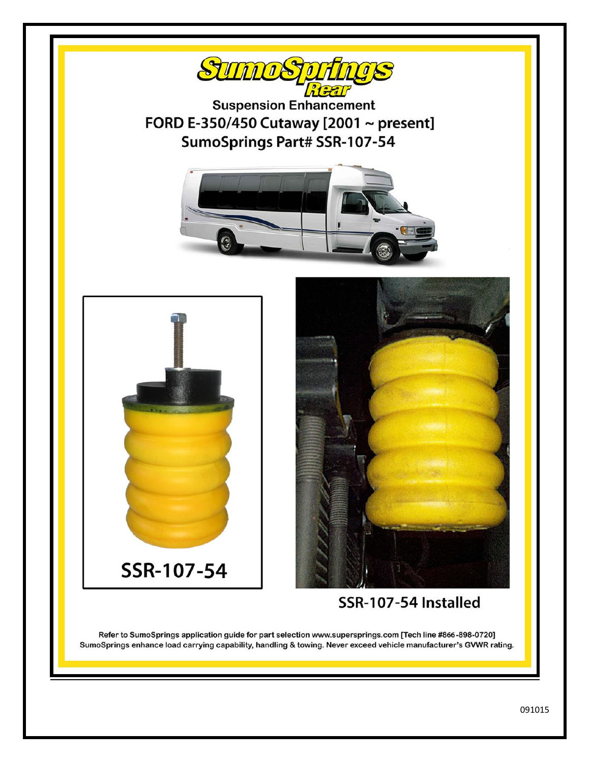